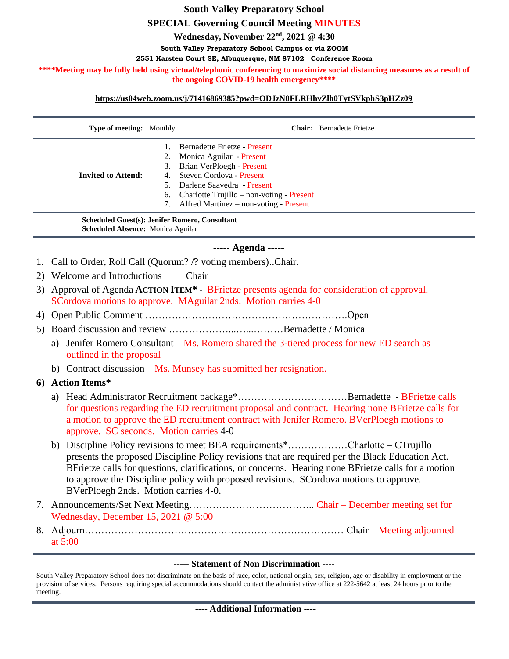## **South Valley Preparatory School SPECIAL Governing Council Meeting MINUTES Wednesday, November 22nd , 2021 @ 4:30 South Valley Preparatory School Campus or via ZOOM 2551 Karsten Court SE, Albuquerque, NM 87102 Conference Room** \*\*\*\*Meeting may be fully held using virtual/telephonic conferencing to maximize social distancing measures as a result of **the ongoing COVID-19 health emergency\*\*\*\***

## **<https://us04web.zoom.us/j/71416869385?pwd=ODJzN0FLRHhvZlh0TytSVkphS3pHZz09>**

|                                                                                                   | Type of meeting: Monthly                                                                                                                                                                                                                                                                                                                                                                                                      |                                        | <b>Chair:</b> Bernadette Frietze                                                                                                                                                                                                       |
|---------------------------------------------------------------------------------------------------|-------------------------------------------------------------------------------------------------------------------------------------------------------------------------------------------------------------------------------------------------------------------------------------------------------------------------------------------------------------------------------------------------------------------------------|----------------------------------------|----------------------------------------------------------------------------------------------------------------------------------------------------------------------------------------------------------------------------------------|
|                                                                                                   | <b>Invited to Attend:</b>                                                                                                                                                                                                                                                                                                                                                                                                     | 1.<br>2.<br>3.<br>4.<br>5.<br>6.<br>7. | Bernadette Frietze - Present<br>Monica Aguilar - Present<br>Brian VerPloegh - Present<br>Steven Cordova - Present<br>Darlene Saavedra - Present<br>Charlotte Trujillo – non-voting - Present<br>Alfred Martinez - non-voting - Present |
| <b>Scheduled Guest(s): Jenifer Romero, Consultant</b><br><b>Scheduled Absence: Monica Aguilar</b> |                                                                                                                                                                                                                                                                                                                                                                                                                               |                                        |                                                                                                                                                                                                                                        |
| ----- Agenda -----                                                                                |                                                                                                                                                                                                                                                                                                                                                                                                                               |                                        |                                                                                                                                                                                                                                        |
|                                                                                                   | Call to Order, Roll Call (Quorum? /? voting members). Chair.                                                                                                                                                                                                                                                                                                                                                                  |                                        |                                                                                                                                                                                                                                        |
| 2)                                                                                                | Welcome and Introductions<br>Chair                                                                                                                                                                                                                                                                                                                                                                                            |                                        |                                                                                                                                                                                                                                        |
| 3)                                                                                                | Approval of Agenda ACTION ITEM <sup>*</sup> - BFrietze presents agenda for consideration of approval.<br>SCordova motions to approve. MAguilar 2nds. Motion carries 4-0                                                                                                                                                                                                                                                       |                                        |                                                                                                                                                                                                                                        |
| 4)                                                                                                |                                                                                                                                                                                                                                                                                                                                                                                                                               |                                        |                                                                                                                                                                                                                                        |
| 5)                                                                                                |                                                                                                                                                                                                                                                                                                                                                                                                                               |                                        |                                                                                                                                                                                                                                        |
|                                                                                                   | a)<br>outlined in the proposal                                                                                                                                                                                                                                                                                                                                                                                                |                                        | Jenifer Romero Consultant – Ms. Romero shared the 3-tiered process for new ED search as                                                                                                                                                |
|                                                                                                   | b) Contract discussion – Ms. Munsey has submitted her resignation.                                                                                                                                                                                                                                                                                                                                                            |                                        |                                                                                                                                                                                                                                        |
| 6                                                                                                 | <b>Action Items*</b>                                                                                                                                                                                                                                                                                                                                                                                                          |                                        |                                                                                                                                                                                                                                        |
|                                                                                                   | a)<br>for questions regarding the ED recruitment proposal and contract. Hearing none BFrietze calls for<br>a motion to approve the ED recruitment contract with Jenifer Romero. BVerPloegh motions to<br>approve. SC seconds. Motion carries 4-0                                                                                                                                                                              |                                        |                                                                                                                                                                                                                                        |
|                                                                                                   | Discipline Policy revisions to meet BEA requirements*Charlotte – CTrujillo<br>b)<br>presents the proposed Discipline Policy revisions that are required per the Black Education Act.<br>BFrietze calls for questions, clarifications, or concerns. Hearing none BFrietze calls for a motion<br>to approve the Discipline policy with proposed revisions. SCordova motions to approve.<br>BVerPloegh 2nds. Motion carries 4-0. |                                        |                                                                                                                                                                                                                                        |
|                                                                                                   | Wednesday, December 15, 2021 $@$ 5:00                                                                                                                                                                                                                                                                                                                                                                                         |                                        |                                                                                                                                                                                                                                        |
|                                                                                                   | at $5:00$                                                                                                                                                                                                                                                                                                                                                                                                                     |                                        |                                                                                                                                                                                                                                        |

## **----- Statement of Non Discrimination ----**

South Valley Preparatory School does not discriminate on the basis of race, color, national origin, sex, religion, age or disability in employment or the provision of services. Persons requiring special accommodations should contact the administrative office at 222-5642 at least 24 hours prior to the meeting.